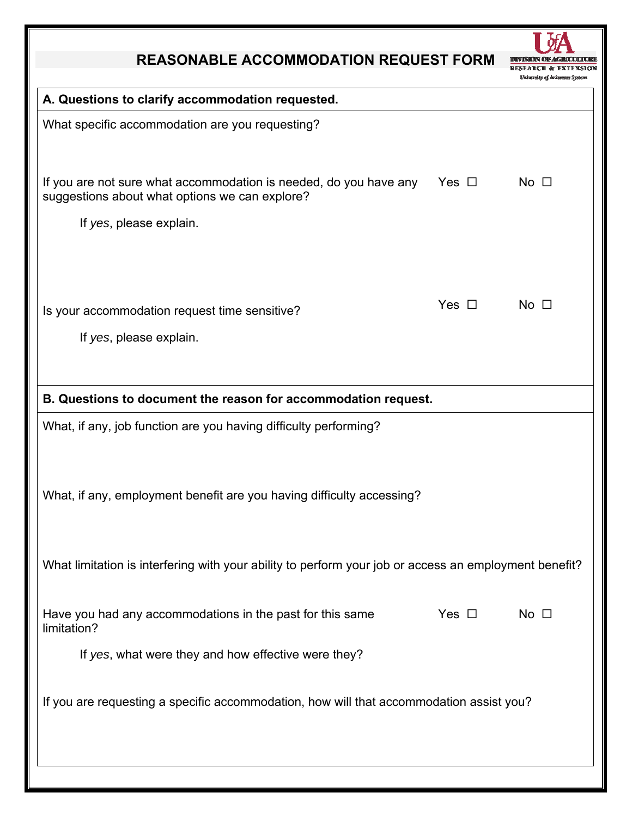## **REASONABLE ACCOMMODATION REQUEST FORM**



| A. Questions to clarify accommodation requested.                                                                                                          |            |                |
|-----------------------------------------------------------------------------------------------------------------------------------------------------------|------------|----------------|
| What specific accommodation are you requesting?                                                                                                           |            |                |
| If you are not sure what accommodation is needed, do you have any Yes $\Box$<br>suggestions about what options we can explore?<br>If yes, please explain. |            | $No$ $\square$ |
|                                                                                                                                                           |            |                |
| Is your accommodation request time sensitive?                                                                                                             | Yes $\Box$ | $No$ $\Box$    |
| If yes, please explain.                                                                                                                                   |            |                |
| B. Questions to document the reason for accommodation request.                                                                                            |            |                |
| What, if any, job function are you having difficulty performing?                                                                                          |            |                |
| What, if any, employment benefit are you having difficulty accessing?                                                                                     |            |                |
| What limitation is interfering with your ability to perform your job or access an employment benefit?                                                     |            |                |
| Have you had any accommodations in the past for this same<br>limitation?                                                                                  | Yes $\Box$ | $No$ $\Box$    |
| If yes, what were they and how effective were they?                                                                                                       |            |                |
| If you are requesting a specific accommodation, how will that accommodation assist you?                                                                   |            |                |